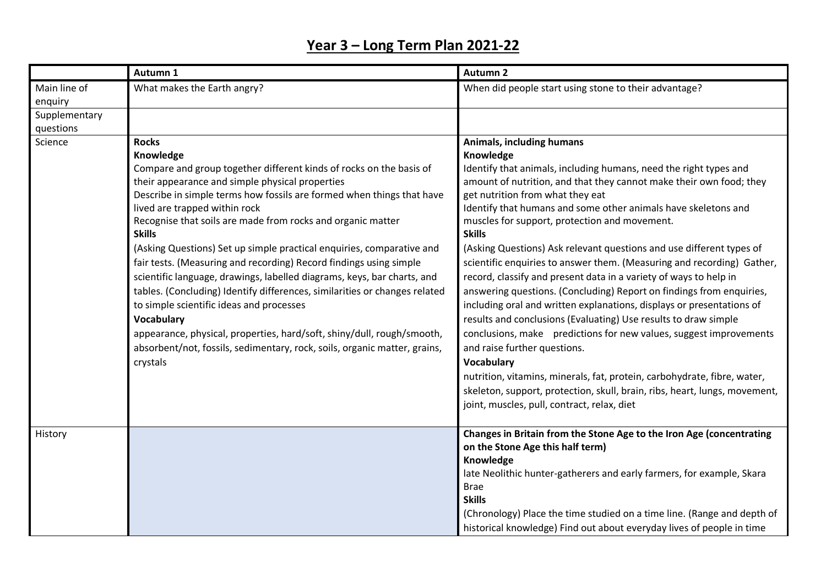# **Year 3 – Long Term Plan 2021-22**

|                            | Autumn 1                                                                                                                                                                                                                                                                                                                                                                                                                                                                                                                                                                                                                                                                                                                                                                                                                                                                           | <b>Autumn 2</b>                                                                                                                                                                                                                                                                                                                                                                                                                                                                                                                                                                                                                                                                                                                                                                                                                                                                                                                                                                                                                                                                                                                           |
|----------------------------|------------------------------------------------------------------------------------------------------------------------------------------------------------------------------------------------------------------------------------------------------------------------------------------------------------------------------------------------------------------------------------------------------------------------------------------------------------------------------------------------------------------------------------------------------------------------------------------------------------------------------------------------------------------------------------------------------------------------------------------------------------------------------------------------------------------------------------------------------------------------------------|-------------------------------------------------------------------------------------------------------------------------------------------------------------------------------------------------------------------------------------------------------------------------------------------------------------------------------------------------------------------------------------------------------------------------------------------------------------------------------------------------------------------------------------------------------------------------------------------------------------------------------------------------------------------------------------------------------------------------------------------------------------------------------------------------------------------------------------------------------------------------------------------------------------------------------------------------------------------------------------------------------------------------------------------------------------------------------------------------------------------------------------------|
| Main line of<br>enquiry    | What makes the Earth angry?                                                                                                                                                                                                                                                                                                                                                                                                                                                                                                                                                                                                                                                                                                                                                                                                                                                        | When did people start using stone to their advantage?                                                                                                                                                                                                                                                                                                                                                                                                                                                                                                                                                                                                                                                                                                                                                                                                                                                                                                                                                                                                                                                                                     |
| Supplementary<br>questions |                                                                                                                                                                                                                                                                                                                                                                                                                                                                                                                                                                                                                                                                                                                                                                                                                                                                                    |                                                                                                                                                                                                                                                                                                                                                                                                                                                                                                                                                                                                                                                                                                                                                                                                                                                                                                                                                                                                                                                                                                                                           |
| Science                    | <b>Rocks</b><br>Knowledge<br>Compare and group together different kinds of rocks on the basis of<br>their appearance and simple physical properties<br>Describe in simple terms how fossils are formed when things that have<br>lived are trapped within rock<br>Recognise that soils are made from rocks and organic matter<br><b>Skills</b><br>(Asking Questions) Set up simple practical enquiries, comparative and<br>fair tests. (Measuring and recording) Record findings using simple<br>scientific language, drawings, labelled diagrams, keys, bar charts, and<br>tables. (Concluding) Identify differences, similarities or changes related<br>to simple scientific ideas and processes<br>Vocabulary<br>appearance, physical, properties, hard/soft, shiny/dull, rough/smooth,<br>absorbent/not, fossils, sedimentary, rock, soils, organic matter, grains,<br>crystals | Animals, including humans<br>Knowledge<br>Identify that animals, including humans, need the right types and<br>amount of nutrition, and that they cannot make their own food; they<br>get nutrition from what they eat<br>Identify that humans and some other animals have skeletons and<br>muscles for support, protection and movement.<br><b>Skills</b><br>(Asking Questions) Ask relevant questions and use different types of<br>scientific enquiries to answer them. (Measuring and recording) Gather,<br>record, classify and present data in a variety of ways to help in<br>answering questions. (Concluding) Report on findings from enquiries,<br>including oral and written explanations, displays or presentations of<br>results and conclusions (Evaluating) Use results to draw simple<br>conclusions, make predictions for new values, suggest improvements<br>and raise further questions.<br><b>Vocabulary</b><br>nutrition, vitamins, minerals, fat, protein, carbohydrate, fibre, water,<br>skeleton, support, protection, skull, brain, ribs, heart, lungs, movement,<br>joint, muscles, pull, contract, relax, diet |
| History                    |                                                                                                                                                                                                                                                                                                                                                                                                                                                                                                                                                                                                                                                                                                                                                                                                                                                                                    | Changes in Britain from the Stone Age to the Iron Age (concentrating<br>on the Stone Age this half term)<br>Knowledge<br>late Neolithic hunter-gatherers and early farmers, for example, Skara<br><b>Brae</b><br><b>Skills</b><br>(Chronology) Place the time studied on a time line. (Range and depth of<br>historical knowledge) Find out about everyday lives of people in time                                                                                                                                                                                                                                                                                                                                                                                                                                                                                                                                                                                                                                                                                                                                                        |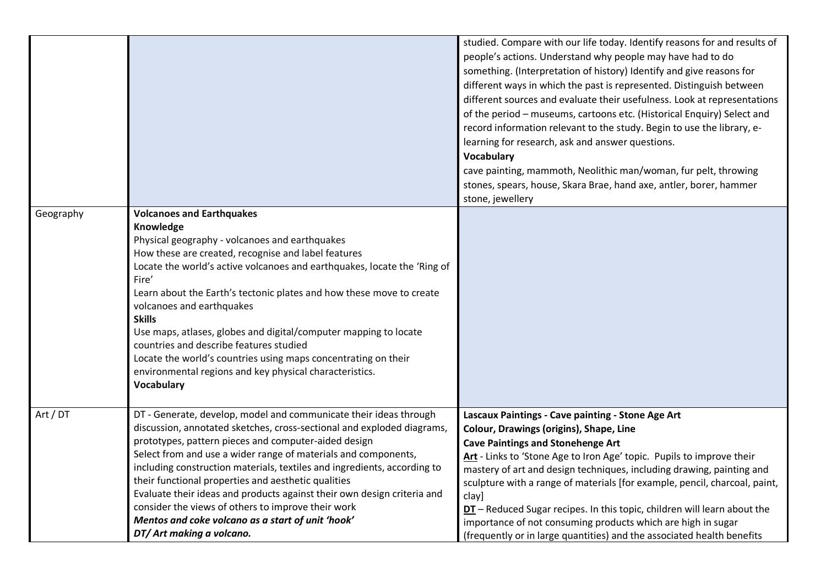|           |                                                                                                                                                                                                                                                                                                                                                                                                                                                                                                                                                                                                                                    | studied. Compare with our life today. Identify reasons for and results of<br>people's actions. Understand why people may have had to do<br>something. (Interpretation of history) Identify and give reasons for<br>different ways in which the past is represented. Distinguish between<br>different sources and evaluate their usefulness. Look at representations<br>of the period - museums, cartoons etc. (Historical Enquiry) Select and<br>record information relevant to the study. Begin to use the library, e-<br>learning for research, ask and answer questions.<br>Vocabulary<br>cave painting, mammoth, Neolithic man/woman, fur pelt, throwing<br>stones, spears, house, Skara Brae, hand axe, antler, borer, hammer<br>stone, jewellery |
|-----------|------------------------------------------------------------------------------------------------------------------------------------------------------------------------------------------------------------------------------------------------------------------------------------------------------------------------------------------------------------------------------------------------------------------------------------------------------------------------------------------------------------------------------------------------------------------------------------------------------------------------------------|--------------------------------------------------------------------------------------------------------------------------------------------------------------------------------------------------------------------------------------------------------------------------------------------------------------------------------------------------------------------------------------------------------------------------------------------------------------------------------------------------------------------------------------------------------------------------------------------------------------------------------------------------------------------------------------------------------------------------------------------------------|
| Geography | <b>Volcanoes and Earthquakes</b><br>Knowledge<br>Physical geography - volcanoes and earthquakes<br>How these are created, recognise and label features<br>Locate the world's active volcanoes and earthquakes, locate the 'Ring of<br>Fire'<br>Learn about the Earth's tectonic plates and how these move to create<br>volcanoes and earthquakes<br><b>Skills</b><br>Use maps, atlases, globes and digital/computer mapping to locate<br>countries and describe features studied<br>Locate the world's countries using maps concentrating on their<br>environmental regions and key physical characteristics.<br><b>Vocabulary</b> |                                                                                                                                                                                                                                                                                                                                                                                                                                                                                                                                                                                                                                                                                                                                                        |
| Art / DT  | DT - Generate, develop, model and communicate their ideas through<br>discussion, annotated sketches, cross-sectional and exploded diagrams,<br>prototypes, pattern pieces and computer-aided design<br>Select from and use a wider range of materials and components,<br>including construction materials, textiles and ingredients, according to<br>their functional properties and aesthetic qualities<br>Evaluate their ideas and products against their own design criteria and<br>consider the views of others to improve their work<br>Mentos and coke volcano as a start of unit 'hook'<br>DT/ Art making a volcano.        | Lascaux Paintings - Cave painting - Stone Age Art<br>Colour, Drawings (origins), Shape, Line<br><b>Cave Paintings and Stonehenge Art</b><br>Art - Links to 'Stone Age to Iron Age' topic. Pupils to improve their<br>mastery of art and design techniques, including drawing, painting and<br>sculpture with a range of materials [for example, pencil, charcoal, paint,<br>clay]<br>DT - Reduced Sugar recipes. In this topic, children will learn about the<br>importance of not consuming products which are high in sugar<br>(frequently or in large quantities) and the associated health benefits                                                                                                                                                |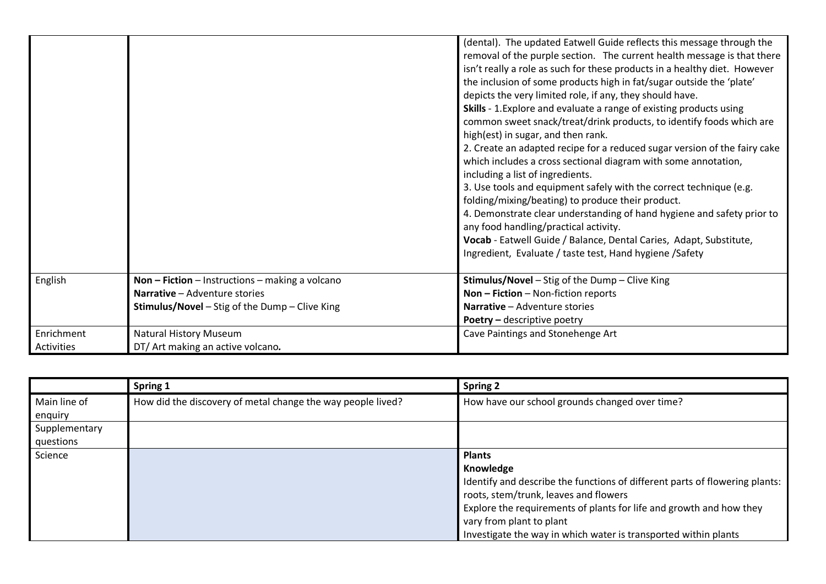|            |                                                                                         | (dental). The updated Eatwell Guide reflects this message through the<br>removal of the purple section. The current health message is that there<br>isn't really a role as such for these products in a healthy diet. However<br>the inclusion of some products high in fat/sugar outside the 'plate'<br>depicts the very limited role, if any, they should have.<br><b>Skills</b> - 1. Explore and evaluate a range of existing products using<br>common sweet snack/treat/drink products, to identify foods which are<br>high(est) in sugar, and then rank.<br>2. Create an adapted recipe for a reduced sugar version of the fairy cake<br>which includes a cross sectional diagram with some annotation,<br>including a list of ingredients.<br>3. Use tools and equipment safely with the correct technique (e.g.<br>folding/mixing/beating) to produce their product.<br>4. Demonstrate clear understanding of hand hygiene and safety prior to<br>any food handling/practical activity.<br>Vocab - Eatwell Guide / Balance, Dental Caries, Adapt, Substitute,<br>Ingredient, Evaluate / taste test, Hand hygiene / Safety |
|------------|-----------------------------------------------------------------------------------------|----------------------------------------------------------------------------------------------------------------------------------------------------------------------------------------------------------------------------------------------------------------------------------------------------------------------------------------------------------------------------------------------------------------------------------------------------------------------------------------------------------------------------------------------------------------------------------------------------------------------------------------------------------------------------------------------------------------------------------------------------------------------------------------------------------------------------------------------------------------------------------------------------------------------------------------------------------------------------------------------------------------------------------------------------------------------------------------------------------------------------------|
| English    | Non - Fiction - Instructions - making a volcano<br><b>Narrative</b> – Adventure stories | Stimulus/Novel - Stig of the Dump - Clive King<br>Non - Fiction - Non-fiction reports                                                                                                                                                                                                                                                                                                                                                                                                                                                                                                                                                                                                                                                                                                                                                                                                                                                                                                                                                                                                                                            |
|            | <b>Stimulus/Novel</b> - Stig of the Dump - Clive King                                   | Narrative - Adventure stories                                                                                                                                                                                                                                                                                                                                                                                                                                                                                                                                                                                                                                                                                                                                                                                                                                                                                                                                                                                                                                                                                                    |
|            |                                                                                         | <b>Poetry - descriptive poetry</b>                                                                                                                                                                                                                                                                                                                                                                                                                                                                                                                                                                                                                                                                                                                                                                                                                                                                                                                                                                                                                                                                                               |
| Enrichment |                                                                                         |                                                                                                                                                                                                                                                                                                                                                                                                                                                                                                                                                                                                                                                                                                                                                                                                                                                                                                                                                                                                                                                                                                                                  |
|            | <b>Natural History Museum</b>                                                           | Cave Paintings and Stonehenge Art                                                                                                                                                                                                                                                                                                                                                                                                                                                                                                                                                                                                                                                                                                                                                                                                                                                                                                                                                                                                                                                                                                |
| Activities | DT/ Art making an active volcano.                                                       |                                                                                                                                                                                                                                                                                                                                                                                                                                                                                                                                                                                                                                                                                                                                                                                                                                                                                                                                                                                                                                                                                                                                  |

|               | Spring 1                                                    | <b>Spring 2</b>                                                             |
|---------------|-------------------------------------------------------------|-----------------------------------------------------------------------------|
| Main line of  | How did the discovery of metal change the way people lived? | How have our school grounds changed over time?                              |
| enquiry       |                                                             |                                                                             |
| Supplementary |                                                             |                                                                             |
| questions     |                                                             |                                                                             |
| Science       |                                                             | <b>Plants</b>                                                               |
|               |                                                             | Knowledge                                                                   |
|               |                                                             | Identify and describe the functions of different parts of flowering plants: |
|               |                                                             | roots, stem/trunk, leaves and flowers                                       |
|               |                                                             | Explore the requirements of plants for life and growth and how they         |
|               |                                                             | vary from plant to plant                                                    |
|               |                                                             | Investigate the way in which water is transported within plants             |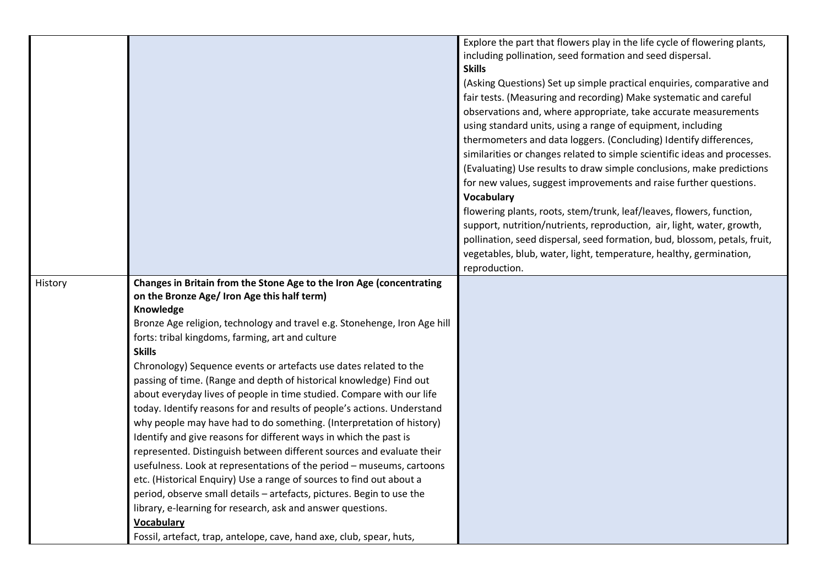|         |                                                                                                                                                                                                                                                                                                                                                                                                                                                                                                                                                                                                                                                                                                                                                                                                                                                                                                                                                                                                                                                                                                                                                                                                | Explore the part that flowers play in the life cycle of flowering plants,<br>including pollination, seed formation and seed dispersal.<br><b>Skills</b><br>(Asking Questions) Set up simple practical enquiries, comparative and<br>fair tests. (Measuring and recording) Make systematic and careful<br>observations and, where appropriate, take accurate measurements<br>using standard units, using a range of equipment, including<br>thermometers and data loggers. (Concluding) Identify differences,<br>similarities or changes related to simple scientific ideas and processes.<br>(Evaluating) Use results to draw simple conclusions, make predictions<br>for new values, suggest improvements and raise further questions.<br><b>Vocabulary</b><br>flowering plants, roots, stem/trunk, leaf/leaves, flowers, function,<br>support, nutrition/nutrients, reproduction, air, light, water, growth,<br>pollination, seed dispersal, seed formation, bud, blossom, petals, fruit,<br>vegetables, blub, water, light, temperature, healthy, germination,<br>reproduction. |
|---------|------------------------------------------------------------------------------------------------------------------------------------------------------------------------------------------------------------------------------------------------------------------------------------------------------------------------------------------------------------------------------------------------------------------------------------------------------------------------------------------------------------------------------------------------------------------------------------------------------------------------------------------------------------------------------------------------------------------------------------------------------------------------------------------------------------------------------------------------------------------------------------------------------------------------------------------------------------------------------------------------------------------------------------------------------------------------------------------------------------------------------------------------------------------------------------------------|------------------------------------------------------------------------------------------------------------------------------------------------------------------------------------------------------------------------------------------------------------------------------------------------------------------------------------------------------------------------------------------------------------------------------------------------------------------------------------------------------------------------------------------------------------------------------------------------------------------------------------------------------------------------------------------------------------------------------------------------------------------------------------------------------------------------------------------------------------------------------------------------------------------------------------------------------------------------------------------------------------------------------------------------------------------------------------|
| History | Changes in Britain from the Stone Age to the Iron Age (concentrating<br>on the Bronze Age/ Iron Age this half term)<br>Knowledge<br>Bronze Age religion, technology and travel e.g. Stonehenge, Iron Age hill<br>forts: tribal kingdoms, farming, art and culture<br><b>Skills</b><br>Chronology) Sequence events or artefacts use dates related to the<br>passing of time. (Range and depth of historical knowledge) Find out<br>about everyday lives of people in time studied. Compare with our life<br>today. Identify reasons for and results of people's actions. Understand<br>why people may have had to do something. (Interpretation of history)<br>Identify and give reasons for different ways in which the past is<br>represented. Distinguish between different sources and evaluate their<br>usefulness. Look at representations of the period - museums, cartoons<br>etc. (Historical Enquiry) Use a range of sources to find out about a<br>period, observe small details - artefacts, pictures. Begin to use the<br>library, e-learning for research, ask and answer questions.<br><b>Vocabulary</b><br>Fossil, artefact, trap, antelope, cave, hand axe, club, spear, huts, |                                                                                                                                                                                                                                                                                                                                                                                                                                                                                                                                                                                                                                                                                                                                                                                                                                                                                                                                                                                                                                                                                    |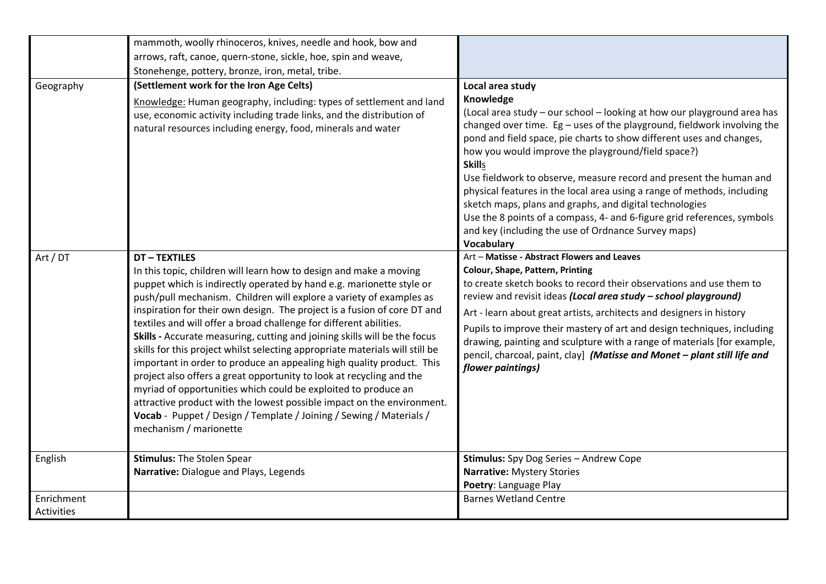|                          | mammoth, woolly rhinoceros, knives, needle and hook, bow and<br>arrows, raft, canoe, quern-stone, sickle, hoe, spin and weave,<br>Stonehenge, pottery, bronze, iron, metal, tribe.                                                                                                                                                                                                                                                                                                                                                                                                                                                                                                                                                                                                                                                                                                                                                                   |                                                                                                                                                                                                                                                                                                                                                                                                                                                                                                                                                                                                                                                                                                       |
|--------------------------|------------------------------------------------------------------------------------------------------------------------------------------------------------------------------------------------------------------------------------------------------------------------------------------------------------------------------------------------------------------------------------------------------------------------------------------------------------------------------------------------------------------------------------------------------------------------------------------------------------------------------------------------------------------------------------------------------------------------------------------------------------------------------------------------------------------------------------------------------------------------------------------------------------------------------------------------------|-------------------------------------------------------------------------------------------------------------------------------------------------------------------------------------------------------------------------------------------------------------------------------------------------------------------------------------------------------------------------------------------------------------------------------------------------------------------------------------------------------------------------------------------------------------------------------------------------------------------------------------------------------------------------------------------------------|
| Geography                | (Settlement work for the Iron Age Celts)<br>Knowledge: Human geography, including: types of settlement and land<br>use, economic activity including trade links, and the distribution of<br>natural resources including energy, food, minerals and water                                                                                                                                                                                                                                                                                                                                                                                                                                                                                                                                                                                                                                                                                             | Local area study<br>Knowledge<br>(Local area study - our school - looking at how our playground area has<br>changed over time. Eg - uses of the playground, fieldwork involving the<br>pond and field space, pie charts to show different uses and changes,<br>how you would improve the playground/field space?)<br><b>Skills</b><br>Use fieldwork to observe, measure record and present the human and<br>physical features in the local area using a range of methods, including<br>sketch maps, plans and graphs, and digital technologies<br>Use the 8 points of a compass, 4- and 6-figure grid references, symbols<br>and key (including the use of Ordnance Survey maps)<br><b>Vocabulary</b> |
| Art / DT                 | <b>DT-TEXTILES</b><br>In this topic, children will learn how to design and make a moving<br>puppet which is indirectly operated by hand e.g. marionette style or<br>push/pull mechanism. Children will explore a variety of examples as<br>inspiration for their own design. The project is a fusion of core DT and<br>textiles and will offer a broad challenge for different abilities.<br>Skills - Accurate measuring, cutting and joining skills will be the focus<br>skills for this project whilst selecting appropriate materials will still be<br>important in order to produce an appealing high quality product. This<br>project also offers a great opportunity to look at recycling and the<br>myriad of opportunities which could be exploited to produce an<br>attractive product with the lowest possible impact on the environment.<br>Vocab - Puppet / Design / Template / Joining / Sewing / Materials /<br>mechanism / marionette | Art - Matisse - Abstract Flowers and Leaves<br>Colour, Shape, Pattern, Printing<br>to create sketch books to record their observations and use them to<br>review and revisit ideas (Local area study - school playground)<br>Art - learn about great artists, architects and designers in history<br>Pupils to improve their mastery of art and design techniques, including<br>drawing, painting and sculpture with a range of materials [for example,<br>pencil, charcoal, paint, clay] (Matisse and Monet - plant still life and<br>flower paintings)                                                                                                                                              |
| English                  | <b>Stimulus: The Stolen Spear</b><br>Narrative: Dialogue and Plays, Legends                                                                                                                                                                                                                                                                                                                                                                                                                                                                                                                                                                                                                                                                                                                                                                                                                                                                          | Stimulus: Spy Dog Series - Andrew Cope<br><b>Narrative: Mystery Stories</b><br>Poetry: Language Play                                                                                                                                                                                                                                                                                                                                                                                                                                                                                                                                                                                                  |
| Enrichment<br>Activities |                                                                                                                                                                                                                                                                                                                                                                                                                                                                                                                                                                                                                                                                                                                                                                                                                                                                                                                                                      | <b>Barnes Wetland Centre</b>                                                                                                                                                                                                                                                                                                                                                                                                                                                                                                                                                                                                                                                                          |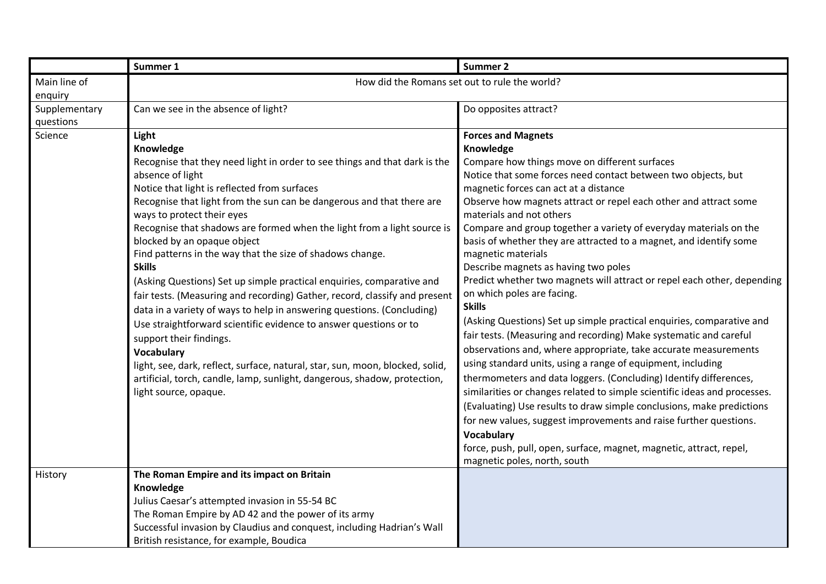|               | Summer 1                                                                                                                                                                                                                                                                                                                                                                                                                                                                                                                                                                                                                                                                                                                                                                                                                                                                                                   | <b>Summer 2</b>                                                                                                                                                                                                                                                                                                                                                                                                                                                                                                                                                                                                                                                                                                                                                                                                                                                                                                                                                                           |
|---------------|------------------------------------------------------------------------------------------------------------------------------------------------------------------------------------------------------------------------------------------------------------------------------------------------------------------------------------------------------------------------------------------------------------------------------------------------------------------------------------------------------------------------------------------------------------------------------------------------------------------------------------------------------------------------------------------------------------------------------------------------------------------------------------------------------------------------------------------------------------------------------------------------------------|-------------------------------------------------------------------------------------------------------------------------------------------------------------------------------------------------------------------------------------------------------------------------------------------------------------------------------------------------------------------------------------------------------------------------------------------------------------------------------------------------------------------------------------------------------------------------------------------------------------------------------------------------------------------------------------------------------------------------------------------------------------------------------------------------------------------------------------------------------------------------------------------------------------------------------------------------------------------------------------------|
| Main line of  | How did the Romans set out to rule the world?                                                                                                                                                                                                                                                                                                                                                                                                                                                                                                                                                                                                                                                                                                                                                                                                                                                              |                                                                                                                                                                                                                                                                                                                                                                                                                                                                                                                                                                                                                                                                                                                                                                                                                                                                                                                                                                                           |
| enquiry       |                                                                                                                                                                                                                                                                                                                                                                                                                                                                                                                                                                                                                                                                                                                                                                                                                                                                                                            |                                                                                                                                                                                                                                                                                                                                                                                                                                                                                                                                                                                                                                                                                                                                                                                                                                                                                                                                                                                           |
| Supplementary | Can we see in the absence of light?                                                                                                                                                                                                                                                                                                                                                                                                                                                                                                                                                                                                                                                                                                                                                                                                                                                                        | Do opposites attract?                                                                                                                                                                                                                                                                                                                                                                                                                                                                                                                                                                                                                                                                                                                                                                                                                                                                                                                                                                     |
| questions     |                                                                                                                                                                                                                                                                                                                                                                                                                                                                                                                                                                                                                                                                                                                                                                                                                                                                                                            |                                                                                                                                                                                                                                                                                                                                                                                                                                                                                                                                                                                                                                                                                                                                                                                                                                                                                                                                                                                           |
| Science       | Light<br>Knowledge<br>Recognise that they need light in order to see things and that dark is the<br>absence of light<br>Notice that light is reflected from surfaces<br>Recognise that light from the sun can be dangerous and that there are<br>ways to protect their eyes<br>Recognise that shadows are formed when the light from a light source is<br>blocked by an opaque object<br>Find patterns in the way that the size of shadows change.<br><b>Skills</b><br>(Asking Questions) Set up simple practical enquiries, comparative and<br>fair tests. (Measuring and recording) Gather, record, classify and present<br>data in a variety of ways to help in answering questions. (Concluding)<br>Use straightforward scientific evidence to answer questions or to<br>support their findings.<br><b>Vocabulary</b><br>light, see, dark, reflect, surface, natural, star, sun, moon, blocked, solid, | <b>Forces and Magnets</b><br>Knowledge<br>Compare how things move on different surfaces<br>Notice that some forces need contact between two objects, but<br>magnetic forces can act at a distance<br>Observe how magnets attract or repel each other and attract some<br>materials and not others<br>Compare and group together a variety of everyday materials on the<br>basis of whether they are attracted to a magnet, and identify some<br>magnetic materials<br>Describe magnets as having two poles<br>Predict whether two magnets will attract or repel each other, depending<br>on which poles are facing.<br><b>Skills</b><br>(Asking Questions) Set up simple practical enquiries, comparative and<br>fair tests. (Measuring and recording) Make systematic and careful<br>observations and, where appropriate, take accurate measurements<br>using standard units, using a range of equipment, including<br>thermometers and data loggers. (Concluding) Identify differences, |
| History       | light source, opaque.<br>The Roman Empire and its impact on Britain<br>Knowledge<br>Julius Caesar's attempted invasion in 55-54 BC<br>The Roman Empire by AD 42 and the power of its army                                                                                                                                                                                                                                                                                                                                                                                                                                                                                                                                                                                                                                                                                                                  | similarities or changes related to simple scientific ideas and processes.<br>(Evaluating) Use results to draw simple conclusions, make predictions<br>for new values, suggest improvements and raise further questions.<br><b>Vocabulary</b><br>force, push, pull, open, surface, magnet, magnetic, attract, repel,<br>magnetic poles, north, south                                                                                                                                                                                                                                                                                                                                                                                                                                                                                                                                                                                                                                       |
|               | Successful invasion by Claudius and conquest, including Hadrian's Wall<br>British resistance, for example, Boudica                                                                                                                                                                                                                                                                                                                                                                                                                                                                                                                                                                                                                                                                                                                                                                                         |                                                                                                                                                                                                                                                                                                                                                                                                                                                                                                                                                                                                                                                                                                                                                                                                                                                                                                                                                                                           |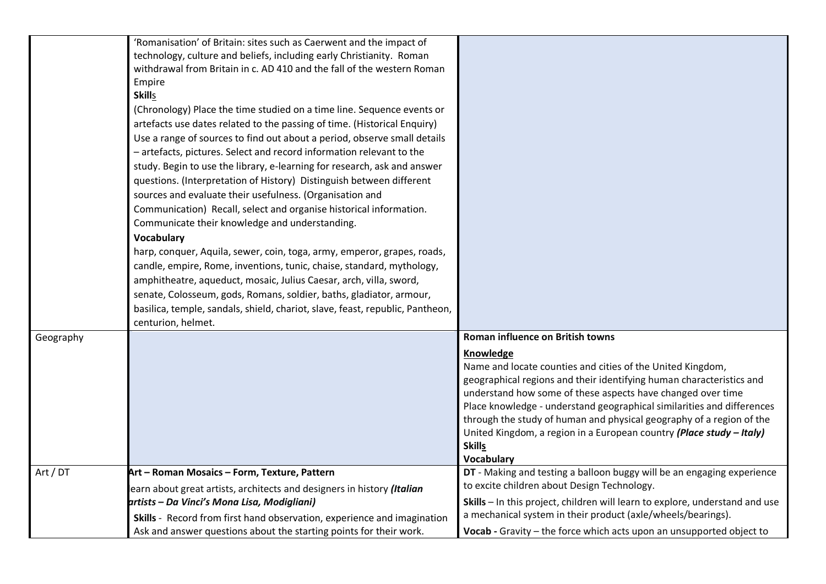|           | 'Romanisation' of Britain: sites such as Caerwent and the impact of<br>technology, culture and beliefs, including early Christianity. Roman<br>withdrawal from Britain in c. AD 410 and the fall of the western Roman<br>Empire<br><b>Skills</b><br>(Chronology) Place the time studied on a time line. Sequence events or<br>artefacts use dates related to the passing of time. (Historical Enquiry)<br>Use a range of sources to find out about a period, observe small details<br>- artefacts, pictures. Select and record information relevant to the<br>study. Begin to use the library, e-learning for research, ask and answer<br>questions. (Interpretation of History) Distinguish between different<br>sources and evaluate their usefulness. (Organisation and<br>Communication) Recall, select and organise historical information.<br>Communicate their knowledge and understanding.<br><b>Vocabulary</b><br>harp, conquer, Aquila, sewer, coin, toga, army, emperor, grapes, roads,<br>candle, empire, Rome, inventions, tunic, chaise, standard, mythology,<br>amphitheatre, aqueduct, mosaic, Julius Caesar, arch, villa, sword,<br>senate, Colosseum, gods, Romans, soldier, baths, gladiator, armour,<br>basilica, temple, sandals, shield, chariot, slave, feast, republic, Pantheon,<br>centurion, helmet. |                                                                                                                                                                                                                                                                                                                                                                                                                                                                                                             |
|-----------|---------------------------------------------------------------------------------------------------------------------------------------------------------------------------------------------------------------------------------------------------------------------------------------------------------------------------------------------------------------------------------------------------------------------------------------------------------------------------------------------------------------------------------------------------------------------------------------------------------------------------------------------------------------------------------------------------------------------------------------------------------------------------------------------------------------------------------------------------------------------------------------------------------------------------------------------------------------------------------------------------------------------------------------------------------------------------------------------------------------------------------------------------------------------------------------------------------------------------------------------------------------------------------------------------------------------------------|-------------------------------------------------------------------------------------------------------------------------------------------------------------------------------------------------------------------------------------------------------------------------------------------------------------------------------------------------------------------------------------------------------------------------------------------------------------------------------------------------------------|
| Geography |                                                                                                                                                                                                                                                                                                                                                                                                                                                                                                                                                                                                                                                                                                                                                                                                                                                                                                                                                                                                                                                                                                                                                                                                                                                                                                                                 | Roman influence on British towns<br>Knowledge<br>Name and locate counties and cities of the United Kingdom,<br>geographical regions and their identifying human characteristics and<br>understand how some of these aspects have changed over time<br>Place knowledge - understand geographical similarities and differences<br>through the study of human and physical geography of a region of the<br>United Kingdom, a region in a European country (Place study - Italy)<br><b>Skills</b><br>Vocabulary |
| Art / DT  | Art – Roman Mosaics – Form, Texture, Pattern                                                                                                                                                                                                                                                                                                                                                                                                                                                                                                                                                                                                                                                                                                                                                                                                                                                                                                                                                                                                                                                                                                                                                                                                                                                                                    | DT - Making and testing a balloon buggy will be an engaging experience                                                                                                                                                                                                                                                                                                                                                                                                                                      |
|           | earn about great artists, architects and designers in history (Italian                                                                                                                                                                                                                                                                                                                                                                                                                                                                                                                                                                                                                                                                                                                                                                                                                                                                                                                                                                                                                                                                                                                                                                                                                                                          | to excite children about Design Technology.                                                                                                                                                                                                                                                                                                                                                                                                                                                                 |
|           | artists – Da Vinci's Mona Lisa, Modigliani)                                                                                                                                                                                                                                                                                                                                                                                                                                                                                                                                                                                                                                                                                                                                                                                                                                                                                                                                                                                                                                                                                                                                                                                                                                                                                     | Skills - In this project, children will learn to explore, understand and use                                                                                                                                                                                                                                                                                                                                                                                                                                |
|           | Skills - Record from first hand observation, experience and imagination                                                                                                                                                                                                                                                                                                                                                                                                                                                                                                                                                                                                                                                                                                                                                                                                                                                                                                                                                                                                                                                                                                                                                                                                                                                         | a mechanical system in their product (axle/wheels/bearings).                                                                                                                                                                                                                                                                                                                                                                                                                                                |
|           | Ask and answer questions about the starting points for their work.                                                                                                                                                                                                                                                                                                                                                                                                                                                                                                                                                                                                                                                                                                                                                                                                                                                                                                                                                                                                                                                                                                                                                                                                                                                              | Vocab - Gravity - the force which acts upon an unsupported object to                                                                                                                                                                                                                                                                                                                                                                                                                                        |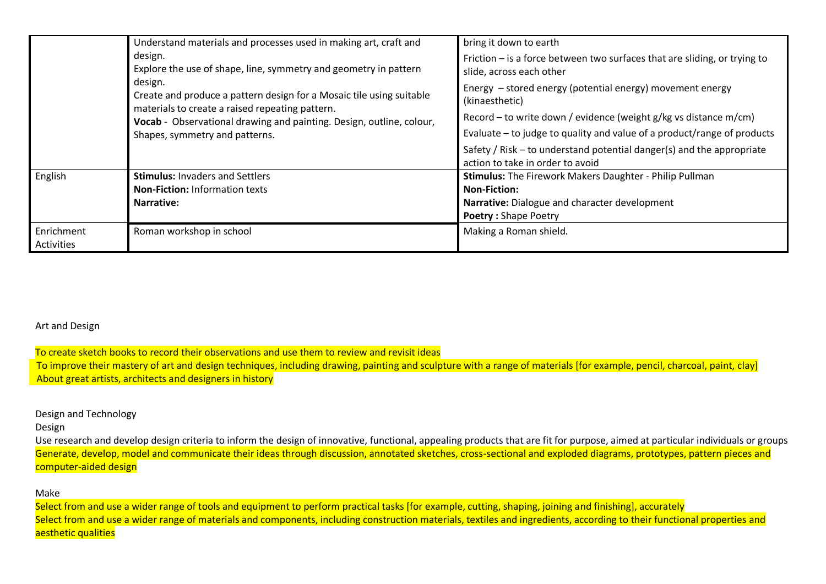|                          | Understand materials and processes used in making art, craft and                                                                                                                                                                                                    | bring it down to earth                                                                                    |
|--------------------------|---------------------------------------------------------------------------------------------------------------------------------------------------------------------------------------------------------------------------------------------------------------------|-----------------------------------------------------------------------------------------------------------|
| design.<br>design.       | Explore the use of shape, line, symmetry and geometry in pattern<br>Create and produce a pattern design for a Mosaic tile using suitable<br>materials to create a raised repeating pattern.<br>Vocab - Observational drawing and painting. Design, outline, colour, | Friction – is a force between two surfaces that are sliding, or trying to<br>slide, across each other     |
|                          |                                                                                                                                                                                                                                                                     | Energy - stored energy (potential energy) movement energy<br>(kinaesthetic)                               |
|                          |                                                                                                                                                                                                                                                                     | Record – to write down / evidence (weight $g/kg$ vs distance m/cm)                                        |
|                          | Shapes, symmetry and patterns.                                                                                                                                                                                                                                      | Evaluate – to judge to quality and value of a product/range of products                                   |
|                          |                                                                                                                                                                                                                                                                     | Safety / Risk – to understand potential danger(s) and the appropriate<br>action to take in order to avoid |
| English                  | <b>Stimulus: Invaders and Settlers</b>                                                                                                                                                                                                                              | Stimulus: The Firework Makers Daughter - Philip Pullman                                                   |
|                          | <b>Non-Fiction:</b> Information texts                                                                                                                                                                                                                               | <b>Non-Fiction:</b>                                                                                       |
|                          | <b>Narrative:</b>                                                                                                                                                                                                                                                   | Narrative: Dialogue and character development                                                             |
|                          |                                                                                                                                                                                                                                                                     | <b>Poetry: Shape Poetry</b>                                                                               |
| Enrichment<br>Activities | Roman workshop in school                                                                                                                                                                                                                                            | Making a Roman shield.                                                                                    |

## Art and Design

To create sketch books to record their observations and use them to review and revisit ideas To improve their mastery of art and design techniques, including drawing, painting and sculpture with a range of materials [for example, pencil, charcoal, paint, clay] About great artists, architects and designers in history

## Design and Technology

## Design

Use research and develop design criteria to inform the design of innovative, functional, appealing products that are fit for purpose, aimed at particular individuals or groups Generate, develop, model and communicate their ideas through discussion, annotated sketches, cross-sectional and exploded diagrams, prototypes, pattern pieces and computer-aided design

#### Make

Select from and use a wider range of tools and equipment to perform practical tasks [for example, cutting, shaping, joining and finishing], accurately Select from and use a wider range of materials and components, including construction materials, textiles and ingredients, according to their functional properties and aesthetic qualities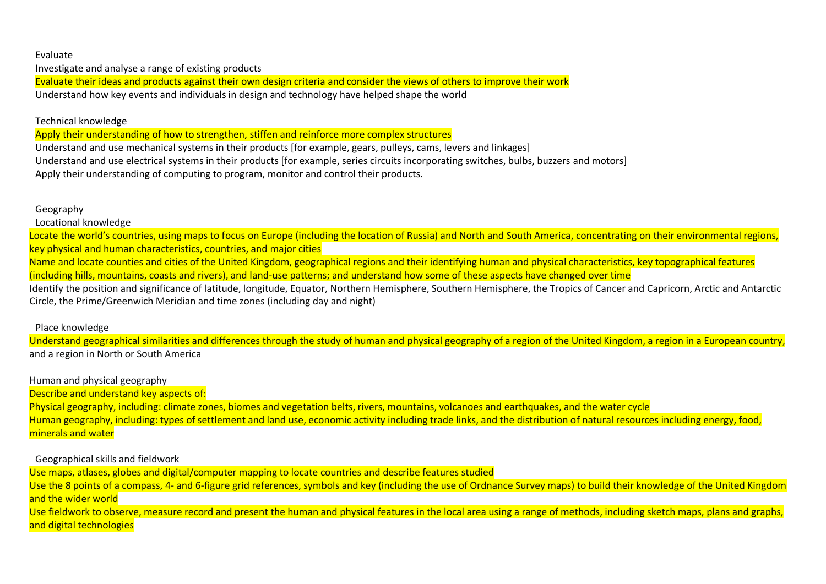#### Evaluate

Investigate and analyse a range of existing products

Evaluate their ideas and products against their own design criteria and consider the views of others to improve their work Understand how key events and individuals in design and technology have helped shape the world

#### Technical knowledge

Apply their understanding of how to strengthen, stiffen and reinforce more complex structures

Understand and use mechanical systems in their products [for example, gears, pulleys, cams, levers and linkages] Understand and use electrical systems in their products [for example, series circuits incorporating switches, bulbs, buzzers and motors] Apply their understanding of computing to program, monitor and control their products.

## Geography

Locational knowledge

Locate the world's countries, using maps to focus on Europe (including the location of Russia) and North and South America, concentrating on their environmental regions, key physical and human characteristics, countries, and major cities

Name and locate counties and cities of the United Kingdom, geographical regions and their identifying human and physical characteristics, key topographical features (including hills, mountains, coasts and rivers), and land-use patterns; and understand how some of these aspects have changed over time

Identify the position and significance of latitude, longitude, Equator, Northern Hemisphere, Southern Hemisphere, the Tropics of Cancer and Capricorn, Arctic and Antarctic Circle, the Prime/Greenwich Meridian and time zones (including day and night)

## Place knowledge

Understand geographical similarities and differences through the study of human and physical geography of a region of the United Kingdom, a region in a European country, and a region in North or South America

Human and physical geography

Describe and understand key aspects of:

Physical geography, including: climate zones, biomes and vegetation belts, rivers, mountains, volcanoes and earthquakes, and the water cycle Human geography, including: types of settlement and land use, economic activity including trade links, and the distribution of natural resources including energy, food, minerals and water

## Geographical skills and fieldwork

Use maps, atlases, globes and digital/computer mapping to locate countries and describe features studied

Use the 8 points of a compass, 4- and 6-figure grid references, symbols and key (including the use of Ordnance Survey maps) to build their knowledge of the United Kingdom and the wider world

Use fieldwork to observe, measure record and present the human and physical features in the local area using a range of methods, including sketch maps, plans and graphs, and digital technologies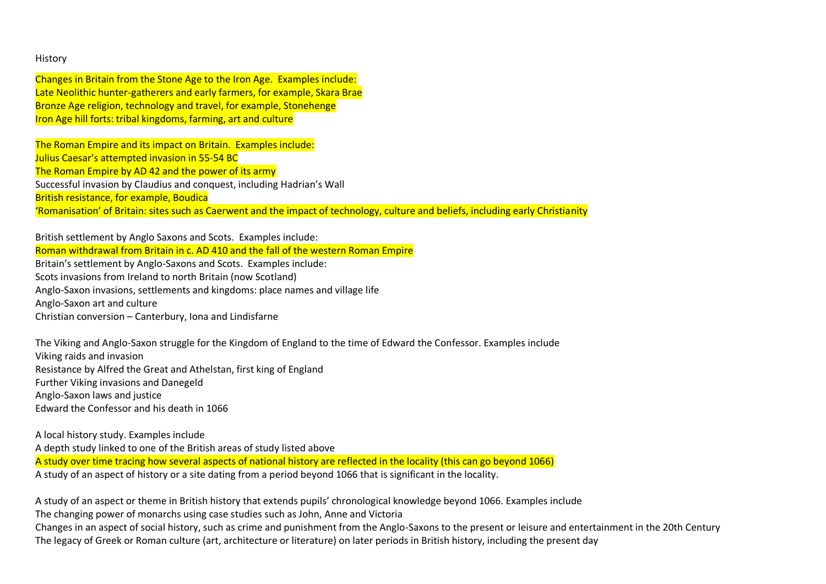#### History

Changes in Britain from the Stone Age to the Iron Age. Examples include: Late Neolithic hunter-gatherers and early farmers, for example, Skara Brae Bronze Age religion, technology and travel, for example, Stonehenge Iron Age hill forts: tribal kingdoms, farming, art and culture

The Roman Empire and its impact on Britain. Examples include: Julius Caesar's attempted invasion in 55-54 BC The Roman Empire by AD 42 and the power of its army Successful invasion by Claudius and conquest, including Hadrian's Wall British resistance, for example, Boudica 'Romanisation' of Britain: sites such as Caerwent and the impact of technology, culture and beliefs, including early Christianity

British settlement by Anglo Saxons and Scots. Examples include: Roman withdrawal from Britain in c. AD 410 and the fall of the western Roman Empire Britain's settlement by Anglo-Saxons and Scots. Examples include: Scots invasions from Ireland to north Britain (now Scotland) Anglo-Saxon invasions, settlements and kingdoms: place names and village life Anglo-Saxon art and culture Christian conversion – Canterbury, Iona and Lindisfarne

The Viking and Anglo-Saxon struggle for the Kingdom of England to the time of Edward the Confessor. Examples include Viking raids and invasion Resistance by Alfred the Great and Athelstan, first king of England Further Viking invasions and Danegeld Anglo-Saxon laws and justice Edward the Confessor and his death in 1066

A local history study. Examples include A depth study linked to one of the British areas of study listed above A study over time tracing how several aspects of national history are reflected in the locality (this can go beyond 1066) A study of an aspect of history or a site dating from a period beyond 1066 that is significant in the locality.

A study of an aspect or theme in British history that extends pupils' chronological knowledge beyond 1066. Examples include The changing power of monarchs using case studies such as John, Anne and Victoria Changes in an aspect of social history, such as crime and punishment from the Anglo-Saxons to the present or leisure and entertainment in the 20th Century

The legacy of Greek or Roman culture (art, architecture or literature) on later periods in British history, including the present day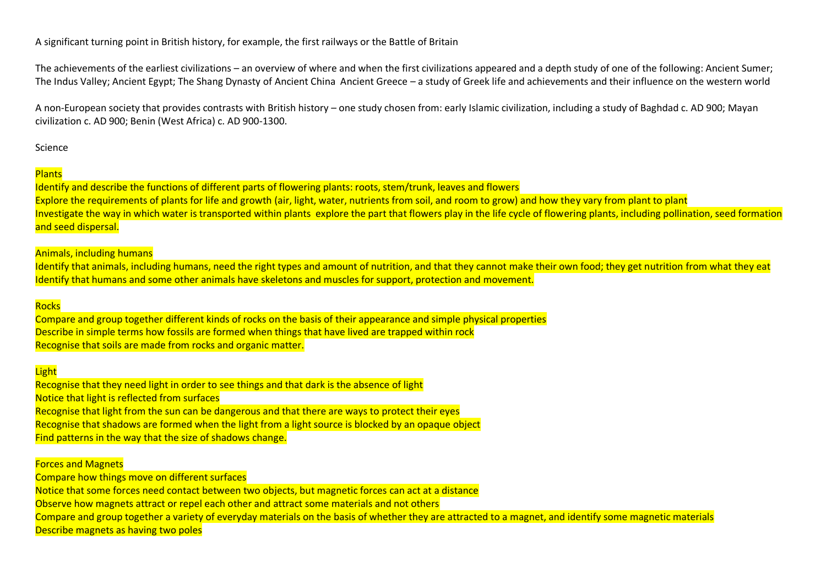A significant turning point in British history, for example, the first railways or the Battle of Britain

The achievements of the earliest civilizations – an overview of where and when the first civilizations appeared and a depth study of one of the following: Ancient Sumer; The Indus Valley; Ancient Egypt; The Shang Dynasty of Ancient China Ancient Greece – a study of Greek life and achievements and their influence on the western world

A non-European society that provides contrasts with British history – one study chosen from: early Islamic civilization, including a study of Baghdad c. AD 900; Mayan civilization c. AD 900; Benin (West Africa) c. AD 900-1300.

#### Science

## Plants

Identify and describe the functions of different parts of flowering plants: roots, stem/trunk, leaves and flowers Explore the requirements of plants for life and growth (air, light, water, nutrients from soil, and room to grow) and how they vary from plant to plant Investigate the way in which water is transported within plants explore the part that flowers play in the life cycle of flowering plants, including pollination, seed formation and seed dispersal.

## Animals, including humans

Identify that animals, including humans, need the right types and amount of nutrition, and that they cannot make their own food; they get nutrition from what they eat Identify that humans and some other animals have skeletons and muscles for support, protection and movement.

## **Rocks**

Compare and group together different kinds of rocks on the basis of their appearance and simple physical properties Describe in simple terms how fossils are formed when things that have lived are trapped within rock Recognise that soils are made from rocks and organic matter.

## **Light**

Recognise that they need light in order to see things and that dark is the absence of light Notice that light is reflected from surfaces Recognise that light from the sun can be dangerous and that there are ways to protect their eyes Recognise that shadows are formed when the light from a light source is blocked by an opaque object Find patterns in the way that the size of shadows change.

#### Forces and Magnets

Compare how things move on different surfaces

Notice that some forces need contact between two objects, but magnetic forces can act at a distance

Observe how magnets attract or repel each other and attract some materials and not others

Compare and group together a variety of everyday materials on the basis of whether they are attracted to a magnet, and identify some magnetic materials

Describe magnets as having two poles